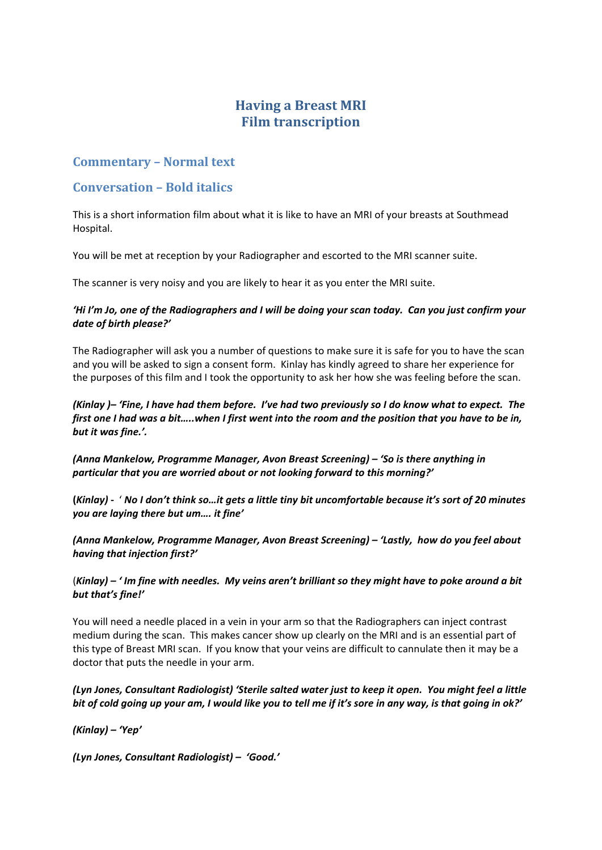# **Having a Breast MRI Film transcription**

# **Commentary – Normal text**

# **Conversation – Bold italics**

This is a short information film about what it is like to have an MRI of your breasts at Southmead Hospital.

You will be met at reception by your Radiographer and escorted to the MRI scanner suite.

The scanner is very noisy and you are likely to hear it as you enter the MRI suite.

# 'Hi I'm Jo, one of the Radiographers and I will be doing your scan today. Can you just confirm your *date of birth please?'*

The Radiographer will ask you a number of questions to make sure it is safe for you to have the scan and you will be asked to sign a consent form. Kinlay has kindly agreed to share her experience for the purposes of this film and I took the opportunity to ask her how she was feeling before the scan.

(Kinlay )– 'Fine, I have had them before. I've had two previously so I do know what to expect. The first one I had was a bit.....when I first went into the room and the position that you have to be in, *but it was fine.'.*

*(Anna Mankelow, Programme Manager, Avon Breast Screening) – 'So is there anything in particular that you are worried about or not looking forward to this morning?'*

(Kinlay) - ' No I don't think so...it gets a little tiny bit uncomfortable because it's sort of 20 minutes *you are laying there but um…. it fine'*

*(Anna Mankelow, Programme Manager, Avon Breast Screening) – 'Lastly, how do you feel about having that injection first?'*

 $(Kinlav) - 'Im$  fine with needles. My veins aren't brilliant so they might have to poke around a bit *but that's fine!'*

You will need a needle placed in a vein in your arm so that the Radiographers can inject contrast medium during the scan. This makes cancer show up clearly on the MRI and is an essential part of this type of Breast MRI scan. If you know that your veins are difficult to cannulate then it may be a doctor that puts the needle in your arm.

(Lyn Jones, Consultant Radiologist) 'Sterile salted water just to keep it open. You might feel a little bit of cold going up your am, I would like you to tell me if it's sore in any way, is that going in ok?'

*(Kinlay) – 'Yep'*

*(Lyn Jones, Consultant Radiologist) – 'Good.'*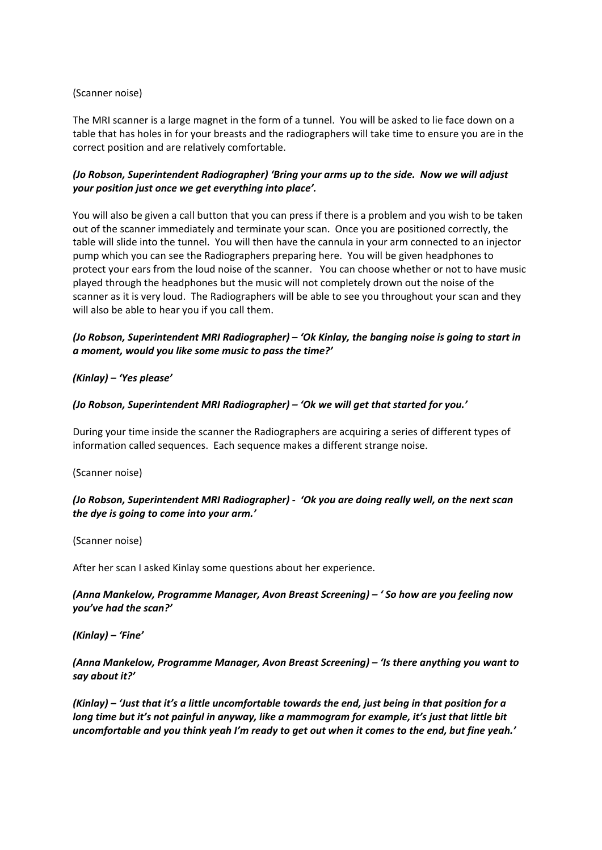## (Scanner noise)

The MRI scanner is a large magnet in the form of a tunnel. You will be asked to lie face down on a table that has holes in for your breasts and the radiographers will take time to ensure you are in the correct position and are relatively comfortable.

# *(Jo Robson, Superintendent Radiographer) 'Bring your arms up to the side. Now we will adjust your position just once we get everything into place'.*

You will also be given a call button that you can press if there is a problem and you wish to be taken out of the scanner immediately and terminate your scan. Once you are positioned correctly, the table will slide into the tunnel. You will then have the cannula in your arm connected to an injector pump which you can see the Radiographers preparing here. You will be given headphones to protect your ears from the loud noise of the scanner. You can choose whether or not to have music played through the headphones but the music will not completely drown out the noise of the scanner as it is very loud. The Radiographers will be able to see you throughout your scan and they will also be able to hear you if you call them.

# *(Jo Robson, Superintendent MRI Radiographer)* – *'Ok Kinlay, the banging noise is going to start in a moment, would you like some music to pass the time?'*

## *(Kinlay) – 'Yes please'*

#### *(Jo Robson, Superintendent MRI Radiographer) – 'Ok we will get that started for you.'*

During your time inside the scanner the Radiographers are acquiring a series of different types of information called sequences. Each sequence makes a different strange noise.

(Scanner noise)

## *(Jo Robson, Superintendent MRI Radiographer) ‐ 'Ok you are doing really well, on the next scan the dye is going to come into your arm.'*

(Scanner noise)

After her scan I asked Kinlay some questions about her experience.

## *(Anna Mankelow, Programme Manager, Avon Breast Screening) – ' So how are you feeling now you've had the scan?'*

*(Kinlay) – 'Fine'*

## *(Anna Mankelow, Programme Manager, Avon Breast Screening) – 'Is there anything you want to say about it?'*

(Kinlay) - 'Just that it's a little uncomfortable towards the end, just being in that position for a *long time but it's not painful in anyway, like a mammogram for example, it's just that little bit* uncomfortable and you think yeah I'm ready to get out when it comes to the end, but fine yeah.'